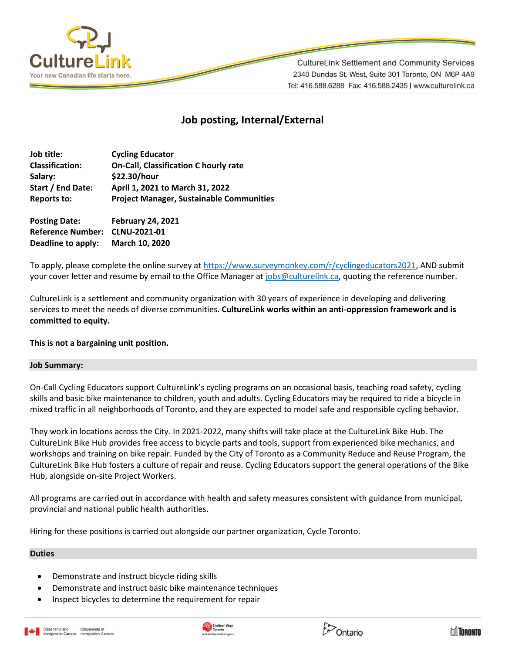

**CultureLink Settlement and Community Services** 2340 Dundas St. West, Suite 301 Toronto, ON M6P 4A9 Tel: 416.588.6288 Fax: 416.588.2435 | www.culturelink.ca

# **Job posting, Internal/External**

| Job title:             | <b>Cycling Educator</b>                         |
|------------------------|-------------------------------------------------|
| <b>Classification:</b> | <b>On-Call, Classification C hourly rate</b>    |
| Salary:                | \$22.30/hour                                    |
| Start / End Date:      | April 1, 2021 to March 31, 2022                 |
| Reports to:            | <b>Project Manager, Sustainable Communities</b> |
| <b>Posting Date:</b>   | <b>February 24, 2021</b>                        |

**Reference Number: CLNU-2021-01 Deadline to apply: March 10, 2020**

To apply, please complete the online survey a[t https://www.surveymonkey.com/r/cyclingeducators2021,](https://www.surveymonkey.com/r/cyclingeducators2021) AND submit your cover letter and resume by email to the Office Manager at [jobs@culturelink.ca,](mailto:jobs@culturelink.ca) quoting the reference number.

CultureLink is a settlement and community organization with 30 years of experience in developing and delivering services to meet the needs of diverse communities. **CultureLink works within an anti-oppression framework and is committed to equity.**

# **This is not a bargaining unit position.**

# **Job Summary:**

On-Call Cycling Educators support CultureLink's cycling programs on an occasional basis, teaching road safety, cycling skills and basic bike maintenance to children, youth and adults. Cycling Educators may be required to ride a bicycle in mixed traffic in all neighborhoods of Toronto, and they are expected to model safe and responsible cycling behavior.

They work in locations across the City. In 2021-2022, many shifts will take place at the CultureLink Bike Hub. The CultureLink Bike Hub provides free access to bicycle parts and tools, support from experienced bike mechanics, and workshops and training on bike repair. Funded by the City of Toronto as a Community Reduce and Reuse Program, the CultureLink Bike Hub fosters a culture of repair and reuse. Cycling Educators support the general operations of the Bike Hub, alongside on-site Project Workers.

All programs are carried out in accordance with health and safety measures consistent with guidance from municipal, provincial and national public health authorities.

Hiring for these positions is carried out alongside our partner organization, Cycle Toronto.

# **Duties**

- Demonstrate and instruct bicycle riding skills
- Demonstrate and instruct basic bike maintenance techniques
- Inspect bicycles to determine the requirement for repair